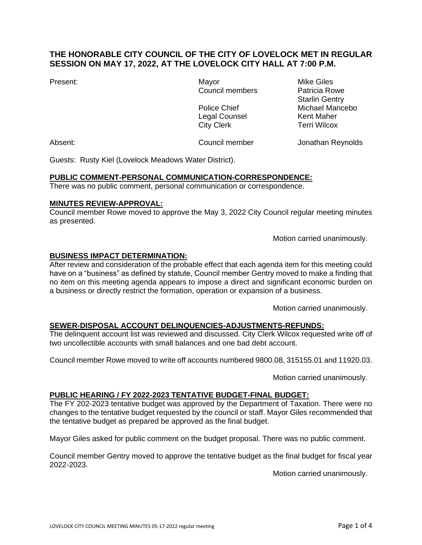# **THE HONORABLE CITY COUNCIL OF THE CITY OF LOVELOCK MET IN REGULAR SESSION ON MAY 17, 2022, AT THE LOVELOCK CITY HALL AT 7:00 P.M.**

Present: The Contract of Mayor Mayor Mike Giles Council members Patricia Rowe

Starlin Gentry Police Chief Michael Mancebo Legal Counsel **Kent Maher** City Clerk Terri Wilcox

Absent: Council member Jonathan Reynolds

Guests: Rusty Kiel (Lovelock Meadows Water District).

# **PUBLIC COMMENT-PERSONAL COMMUNICATION-CORRESPONDENCE:**

There was no public comment, personal communication or correspondence.

### **MINUTES REVIEW-APPROVAL:**

Council member Rowe moved to approve the May 3, 2022 City Council regular meeting minutes as presented.

Motion carried unanimously.

### **BUSINESS IMPACT DETERMINATION:**

After review and consideration of the probable effect that each agenda item for this meeting could have on a "business" as defined by statute, Council member Gentry moved to make a finding that no item on this meeting agenda appears to impose a direct and significant economic burden on a business or directly restrict the formation, operation or expansion of a business.

Motion carried unanimously.

# **SEWER-DISPOSAL ACCOUNT DELINQUENCIES-ADJUSTMENTS-REFUNDS:**

The delinquent account list was reviewed and discussed. City Clerk Wilcox requested write off of two uncollectible accounts with small balances and one bad debt account.

Council member Rowe moved to write off accounts numbered 9800.08, 315155.01 and 11920.03.

Motion carried unanimously.

#### **PUBLIC HEARING / FY 2022-2023 TENTATIVE BUDGET-FINAL BUDGET:**

The FY 202-2023 tentative budget was approved by the Department of Taxation. There were no changes to the tentative budget requested by the council or staff. Mayor Giles recommended that the tentative budget as prepared be approved as the final budget.

Mayor Giles asked for public comment on the budget proposal. There was no public comment.

Council member Gentry moved to approve the tentative budget as the final budget for fiscal year 2022-2023.

Motion carried unanimously.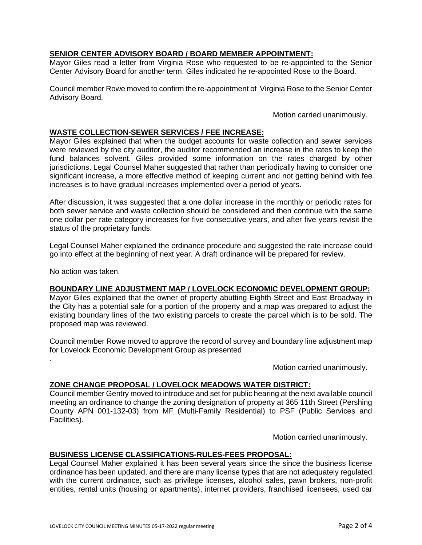# **SENIOR CENTER ADVISORY BOARD / BOARD MEMBER APPOINTMENT:**

Mayor Giles read a letter from Virginia Rose who requested to be re-appointed to the Senior Center Advisory Board for another term. Giles indicated he re-appointed Rose to the Board.

Council member Rowe moved to confirm the re-appointment of Virginia Rose to the Senior Center Advisory Board.

Motion carried unanimously.

### **WASTE COLLECTION-SEWER SERVICES / FEE INCREASE:**

Mayor Giles explained that when the budget accounts for waste collection and sewer services were reviewed by the city auditor, the auditor recommended an increase in the rates to keep the fund balances solvent. Giles provided some information on the rates charged by other jurisdictions. Legal Counsel Maher suggested that rather than periodically having to consider one significant increase, a more effective method of keeping current and not getting behind with fee increases is to have gradual increases implemented over a period of years.

After discussion, it was suggested that a one dollar increase in the monthly or periodic rates for both sewer service and waste collection should be considered and then continue with the same one dollar per rate category increases for five consecutive years, and after five years revisit the status of the proprietary funds.

Legal Counsel Maher explained the ordinance procedure and suggested the rate increase could go into effect at the beginning of next year. A draft ordinance will be prepared for review.

No action was taken.

.

#### **BOUNDARY LINE ADJUSTMENT MAP / LOVELOCK ECONOMIC DEVELOPMENT GROUP:**

Mayor Giles explained that the owner of property abutting Eighth Street and East Broadway in the City has a potential sale for a portion of the property and a map was prepared to adjust the existing boundary lines of the two existing parcels to create the parcel which is to be sold. The proposed map was reviewed.

Council member Rowe moved to approve the record of survey and boundary line adjustment map for Lovelock Economic Development Group as presented

Motion carried unanimously.

#### **ZONE CHANGE PROPOSAL / LOVELOCK MEADOWS WATER DISTRICT:**

Council member Gentry moved to introduce and set for public hearing at the next available council meeting an ordinance to change the zoning designation of property at 365 11th Street (Pershing County APN 001-132-03) from MF (Multi-Family Residential) to PSF (Public Services and Facilities).

Motion carried unanimously.

#### **BUSINESS LICENSE CLASSIFICATIONS-RULES-FEES PROPOSAL:**

Legal Counsel Maher explained it has been several years since the since the business license ordinance has been updated, and there are many license types that are not adequately regulated with the current ordinance, such as privilege licenses, alcohol sales, pawn brokers, non-profit entities, rental units (housing or apartments), internet providers, franchised licensees, used car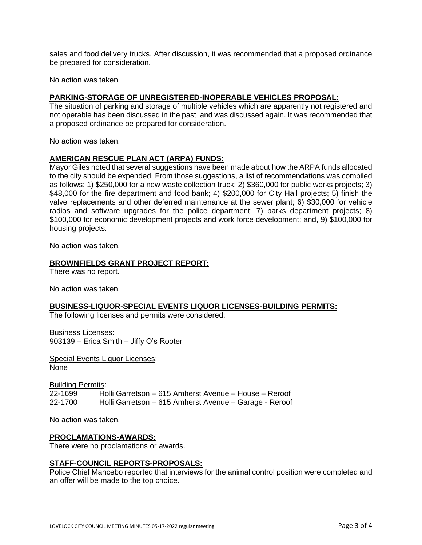sales and food delivery trucks. After discussion, it was recommended that a proposed ordinance be prepared for consideration.

No action was taken.

#### **PARKING-STORAGE OF UNREGISTERED-INOPERABLE VEHICLES PROPOSAL:**

The situation of parking and storage of multiple vehicles which are apparently not registered and not operable has been discussed in the past and was discussed again. It was recommended that a proposed ordinance be prepared for consideration.

No action was taken.

### **AMERICAN RESCUE PLAN ACT (ARPA) FUNDS:**

Mayor Giles noted that several suggestions have been made about how the ARPA funds allocated to the city should be expended. From those suggestions, a list of recommendations was compiled as follows: 1) \$250,000 for a new waste collection truck; 2) \$360,000 for public works projects; 3) \$48,000 for the fire department and food bank; 4) \$200,000 for City Hall projects; 5) finish the valve replacements and other deferred maintenance at the sewer plant; 6) \$30,000 for vehicle radios and software upgrades for the police department; 7) parks department projects; 8) \$100,000 for economic development projects and work force development; and, 9) \$100,000 for housing projects.

No action was taken.

#### **BROWNFIELDS GRANT PROJECT REPORT:**

There was no report.

No action was taken.

#### **BUSINESS-LIQUOR-SPECIAL EVENTS LIQUOR LICENSES-BUILDING PERMITS:**

The following licenses and permits were considered:

Business Licenses: 903139 – Erica Smith – Jiffy O's Rooter

Special Events Liquor Licenses: None

Building Permits:

22-1699 Holli Garretson – 615 Amherst Avenue – House – Reroof 22-1700 Holli Garretson – 615 Amherst Avenue – Garage - Reroof

No action was taken.

#### **PROCLAMATIONS-AWARDS:**

There were no proclamations or awards.

#### **STAFF-COUNCIL REPORTS-PROPOSALS:**

Police Chief Mancebo reported that interviews for the animal control position were completed and an offer will be made to the top choice.